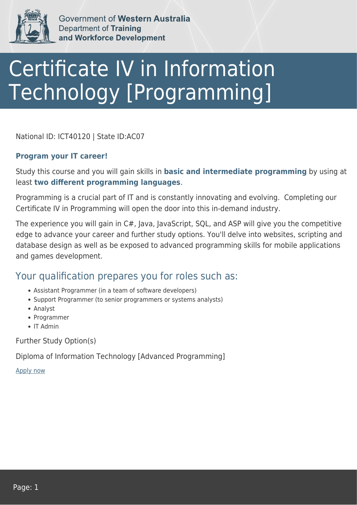

Government of Western Australia **Department of Training** and Workforce Development

## Certificate IV in Information Technology [Programming]

National ID: ICT40120 | State ID:AC07

## **Program your IT career!**

Study this course and you will gain skills in **basic and intermediate programming** by using at least **two different programming languages**.

Programming is a crucial part of IT and is constantly innovating and evolving. Completing our Certificate IV in Programming will open the door into this in-demand industry.

The experience you will gain in C#, Java, JavaScript, SQL, and ASP will give you the competitive edge to advance your career and further study options. You'll delve into websites, scripting and database design as well as be exposed to advanced programming skills for mobile applications and games development.

## Your qualification prepares you for roles such as:

- Assistant Programmer (in a team of software developers)
- Support Programmer (to senior programmers or systems analysts)
- Analyst
- Programmer
- $\bullet$  IT Admin

Further Study Option(s)

Diploma of Information Technology [Advanced Programming]

[Apply now](https://tasonline.tafe.wa.edu.au/Default.aspx)